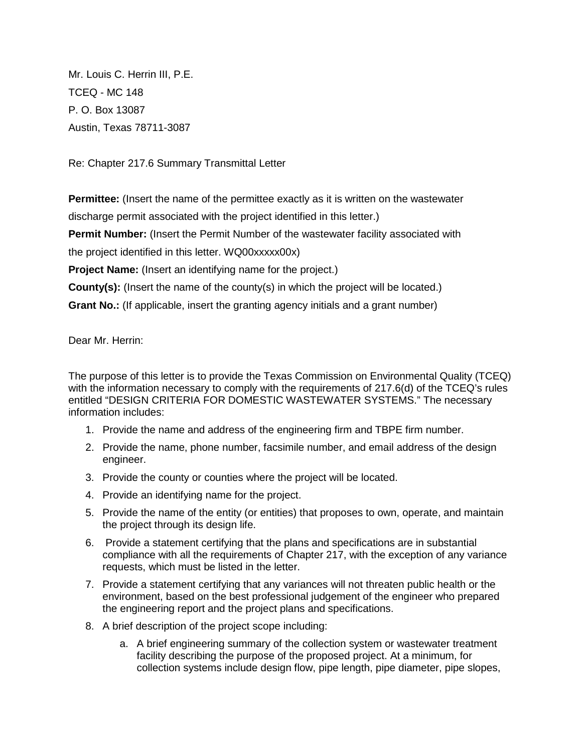Mr. Louis C. Herrin III, P.E. TCEQ - MC 148 P. O. Box 13087 Austin, Texas 78711-3087

Re: Chapter 217.6 Summary Transmittal Letter

**Permittee:** (Insert the name of the permittee exactly as it is written on the wastewater discharge permit associated with the project identified in this letter.)

**Permit Number:** (Insert the Permit Number of the wastewater facility associated with

the project identified in this letter. WQ00xxxxx00x)

**Project Name:** (Insert an identifying name for the project.)

**County(s):** (Insert the name of the county(s) in which the project will be located.)

**Grant No.:** (If applicable, insert the granting agency initials and a grant number)

Dear Mr. Herrin:

The purpose of this letter is to provide the Texas Commission on Environmental Quality (TCEQ) with the information necessary to comply with the requirements of 217.6(d) of the TCEQ's rules entitled "DESIGN CRITERIA FOR DOMESTIC WASTEWATER SYSTEMS." The necessary information includes:

- 1. Provide the name and address of the engineering firm and TBPE firm number.
- 2. Provide the name, phone number, facsimile number, and email address of the design engineer.
- 3. Provide the county or counties where the project will be located.
- 4. Provide an identifying name for the project.
- 5. Provide the name of the entity (or entities) that proposes to own, operate, and maintain the project through its design life.
- 6. Provide a statement certifying that the plans and specifications are in substantial compliance with all the requirements of Chapter 217, with the exception of any variance requests, which must be listed in the letter.
- 7. Provide a statement certifying that any variances will not threaten public health or the environment, based on the best professional judgement of the engineer who prepared the engineering report and the project plans and specifications.
- 8. A brief description of the project scope including:
	- a. A brief engineering summary of the collection system or wastewater treatment facility describing the purpose of the proposed project. At a minimum, for collection systems include design flow, pipe length, pipe diameter, pipe slopes,